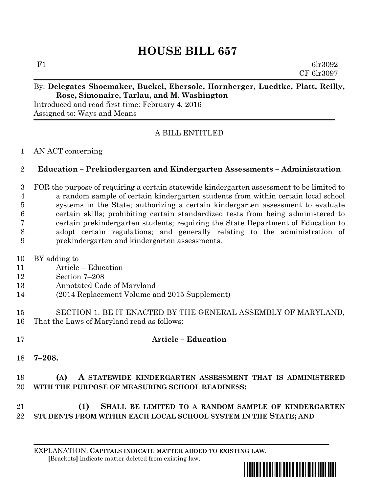# **HOUSE BILL 657**

F1 6lr3092 CF 6lr3097

#### By: **Delegates Shoemaker, Buckel, Ebersole, Hornberger, Luedtke, Platt, Reilly, Rose, Simonaire, Tarlau, and M. Washington**

Introduced and read first time: February 4, 2016 Assigned to: Ways and Means

## A BILL ENTITLED

#### AN ACT concerning

### **Education – Prekindergarten and Kindergarten Assessments – Administration**

 FOR the purpose of requiring a certain statewide kindergarten assessment to be limited to a random sample of certain kindergarten students from within certain local school systems in the State; authorizing a certain kindergarten assessment to evaluate certain skills; prohibiting certain standardized tests from being administered to certain prekindergarten students; requiring the State Department of Education to adopt certain regulations; and generally relating to the administration of prekindergarten and kindergarten assessments.

- BY adding to
- Article Education
- Section 7–208
- Annotated Code of Maryland
- (2014 Replacement Volume and 2015 Supplement)
- SECTION 1. BE IT ENACTED BY THE GENERAL ASSEMBLY OF MARYLAND, That the Laws of Maryland read as follows:
- **Article – Education**
- **7–208.**

# **(A) A STATEWIDE KINDERGARTEN ASSESSMENT THAT IS ADMINISTERED WITH THE PURPOSE OF MEASURING SCHOOL READINESS:**

# **(1) SHALL BE LIMITED TO A RANDOM SAMPLE OF KINDERGARTEN STUDENTS FROM WITHIN EACH LOCAL SCHOOL SYSTEM IN THE STATE; AND**

#### EXPLANATION: **CAPITALS INDICATE MATTER ADDED TO EXISTING LAW**.  **[**Brackets**]** indicate matter deleted from existing law.